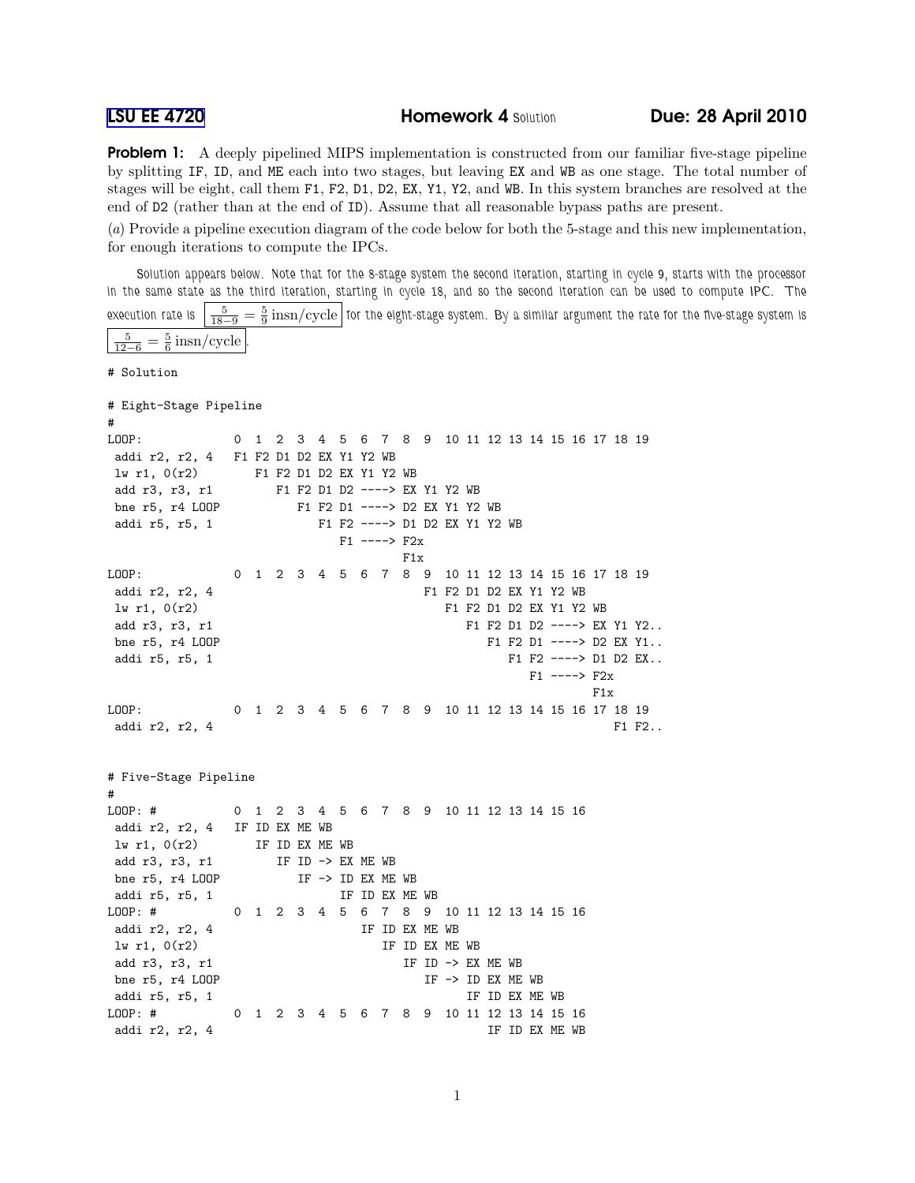**[LSU EE 4720](http://www.ece.lsu.edu/ee4720/) Homework 4 Solution Due: 28 April 2010** 

**Problem 1:** A deeply pipelined MIPS implementation is constructed from our familiar five-stage pipeline by splitting IF, ID, and ME each into two stages, but leaving EX and WB as one stage. The total number of stages will be eight, call them F1, F2, D1, D2, EX, Y1, Y2, and WB. In this system branches are resolved at the end of D2 (rather than at the end of ID). Assume that all reasonable bypass paths are present.

(a) Provide a pipeline execution diagram of the code below for both the 5-stage and this new implementation, for enough iterations to compute the IPCs.

Solution appears below. Note that for the 8-stage system the second iteration, starting in cycle 9, starts with the processor in the same state as the third iteration, starting in cycle 18, and so the second iteration can be used to compute IPC. The execution rate is  $\frac{5}{18-9}=\frac{5}{9}$  insn/cycle  $|$  for the eight-stage system. By a similar argument the rate for the five-stage system is

```
5
 \frac{5}{12-6} = \frac{5}{6} insn/cycle.
# Solution
# Eight-Stage Pipeline
#
LOOP: 0 1 2 3 4 5 6 7 8 9 10 11 12 13 14 15 16 17 18 19
addi r2, r2, 4 F1 F2 D1 D2 EX Y1 Y2 WB
lw r1, 0(r2) F1 F2 D1 D2 EX Y1 Y2 WB
add r3, r3, r1 F1 F2 D1 D2 ----> EX Y1 Y2 WB
bne r5, r4 LOOP F1 F2 D1 ----> D2 EX Y1 Y2 WB
addi r5, r5, 1 F1 F2 ----> D1 D2 EX Y1 Y2 WB
                       F1 ----> F2xF1x
LOOP: 0 1 2 3 4 5 6 7 8 9 10 11 12 13 14 15 16 17 18 19
addi r2, r2, 4 F1 F2 D1 D2 EX Y1 Y2 WB
lw r1, 0(r2) F1 F2 D1 D2 EX Y1 Y2 WB
add r3, r3, r1 F1 F2 D1 D2 ----> EX Y1 Y2..
bne r5, r4 LOOP F1 F2 D1 ----> D2 EX Y1..
addi r5, r5, 1 F1 F2 ----> D1 D2 EX..
                                          F1 ----> F2xF1x
LOOP: 0 1 2 3 4 5 6 7 8 9 10 11 12 13 14 15 16 17 18 19
addi r2, r2, 4 F1 F2...
# Five-Stage Pipeline
#
LOOP: # 0 1 2 3 4 5 6 7 8 9 10 11 12 13 14 15 16
addi r2, r2, 4 IF ID EX ME WB
lw r1, 0(r2) IF ID EX ME WB
add r3, r3, r1 IF ID \rightarrow EX ME WB
bne r5, r4 LOOP IF \rightarrow ID EX ME WB
addi r5, r5, 1 IF ID EX ME WB
LOOP: # 0 1 2 3 4 5 6 7 8 9 10 11 12 13 14 15 16
addi r2, r2, 4 IF ID EX ME WB
\text{lw } r1, 0(r2) IF ID EX ME WB
add r3, r3, r1 IF ID \rightarrow EX ME WBbne r5, r4 LOOP IF \rightarrow ID EX ME WBaddi r5, r5, 1 and 1 IF ID EX ME WB
LOOP: # 0 1 2 3 4 5 6 7 8 9 10 11 12 13 14 15 16
addi r2, r2, 4 IF ID EX ME WB
```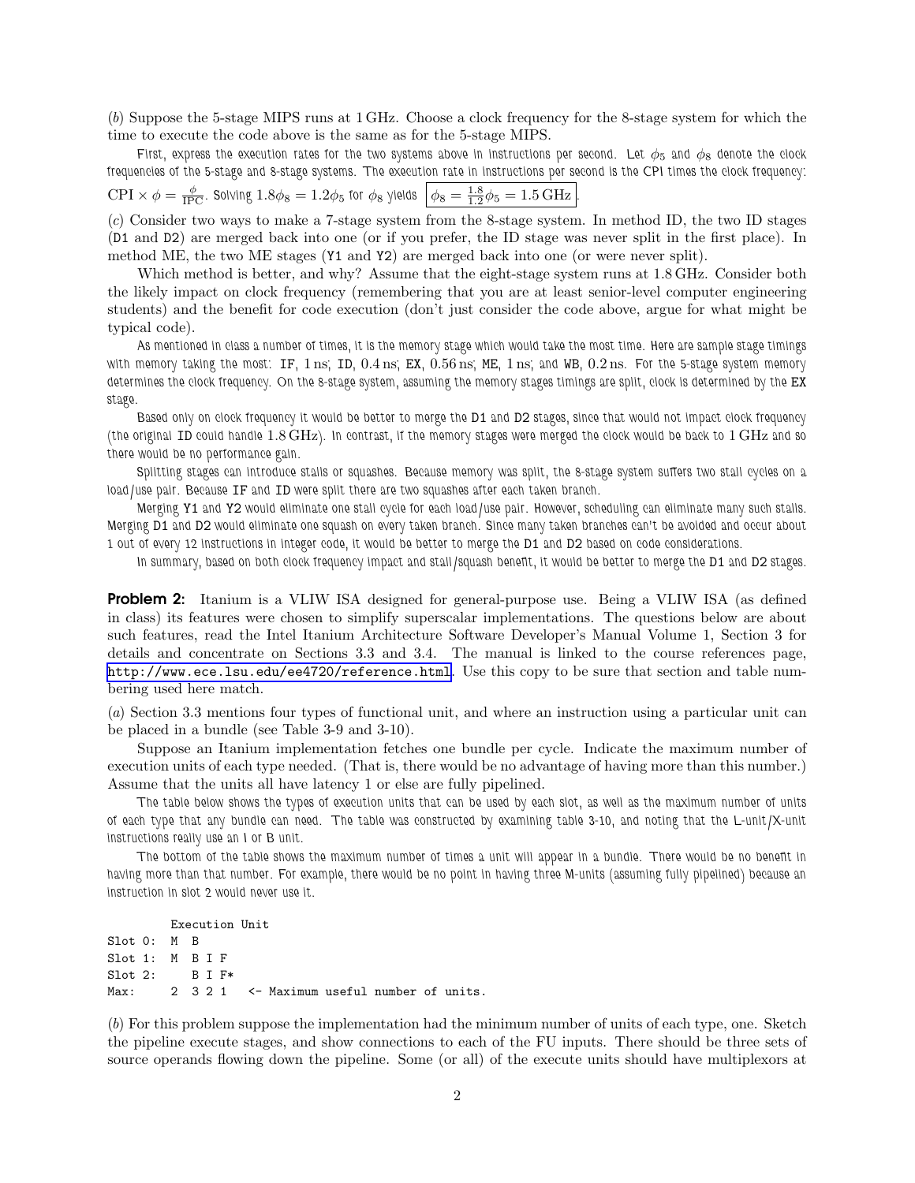(b) Suppose the 5-stage MIPS runs at 1 GHz. Choose a clock frequency for the 8-stage system for which the time to execute the code above is the same as for the 5-stage MIPS.

First, express the execution rates for the two systems above in instructions per second. Let  $\phi_5$  and  $\phi_8$  denote the clock frequencies of the 5-stage and 8-stage systems. The execution rate in instructions per second is the CPI times the clock frequency: φ 1.8

$$
\text{CPI} \times \phi = \frac{\phi}{\text{IPC}}.
$$
 Solving  $1.8\phi_8 = 1.2\phi_5$  for  $\phi_8$  yields  $\left| \phi_8 = \frac{1.8}{1.2}\phi_5 = 1.5 \text{ GHz} \right|$ .

(c) Consider two ways to make a 7-stage system from the 8-stage system. In method ID, the two ID stages (D1 and D2) are merged back into one (or if you prefer, the ID stage was never split in the first place). In method ME, the two ME stages (Y1 and Y2) are merged back into one (or were never split).

Which method is better, and why? Assume that the eight-stage system runs at 1.8 GHz. Consider both the likely impact on clock frequency (remembering that you are at least senior-level computer engineering students) and the benefit for code execution (don't just consider the code above, argue for what might be typical code).

As mentioned in class a number of times, it is the memory stage which would take the most time. Here are sample stage timings with memory taking the most: IF,  $1 \text{ ns}$ ; ID,  $0.4 \text{ ns}$ ; EX,  $0.56 \text{ ns}$ ; ME,  $1 \text{ ns}$ ; and WB,  $0.2 \text{ ns}$ . For the 5-stage system memory determines the clock frequency. On the 8-stage system, assuming the memory stages timings are split, clock is determined by the EX stage.

Based only on clock frequency it would be better to merge the D1 and D2 stages, since that would not impact clock frequency (the original ID could handle 1.8 GHz). In contrast, if the memory stages were merged the clock would be back to 1 GHz and so there would be no performance gain.

Splitting stages can introduce stalls or squashes. Because memory was split, the 8-stage system suffers two stall cycles on a load/use pair. Because IF and ID were split there are two squashes after each taken branch.

Merging Y1 and Y2 would eliminate one stall cycle for each load/use pair. However, scheduling can eliminate many such stalls. Merging D1 and D2 would eliminate one squash on every taken branch. Since many taken branches can't be avoided and occur about 1 out of every 12 instructions in integer code, it would be better to merge the D1 and D2 based on code considerations.

In summary, based on both clock frequency impact and stall/squash benefit, it would be better to merge the D1 and D2 stages.

**Problem 2:** Itanium is a VLIW ISA designed for general-purpose use. Being a VLIW ISA (as defined in class) its features were chosen to simplify superscalar implementations. The questions below are about such features, read the Intel Itanium Architecture Software Developer's Manual Volume 1, Section 3 for details and concentrate on Sections 3.3 and 3.4. The manual is linked to the course references page, <http://www.ece.lsu.edu/ee4720/reference.html>. Use this copy to be sure that section and table numbering used here match.

(a) Section 3.3 mentions four types of functional unit, and where an instruction using a particular unit can be placed in a bundle (see Table 3-9 and 3-10).

Suppose an Itanium implementation fetches one bundle per cycle. Indicate the maximum number of execution units of each type needed. (That is, there would be no advantage of having more than this number.) Assume that the units all have latency 1 or else are fully pipelined.

The table below shows the types of execution units that can be used by each slot, as well as the maximum number of units of each type that any bundle can need. The table was constructed by examining table 3-10, and noting that the L-unit/X-unit instructions really use an I or B unit.

The bottom of the table shows the maximum number of times a unit will appear in a bundle. There would be no benefit in having more than that number. For example, there would be no point in having three M-units (assuming fully pipelined) because an instruction in slot 2 would never use it.

Execution Unit Slot 0: M B Slot 1: M B I F Slot 2: B I F\* Max: 2 3 2 1 <- Maximum useful number of units.

(b) For this problem suppose the implementation had the minimum number of units of each type, one. Sketch the pipeline execute stages, and show connections to each of the FU inputs. There should be three sets of source operands flowing down the pipeline. Some (or all) of the execute units should have multiplexors at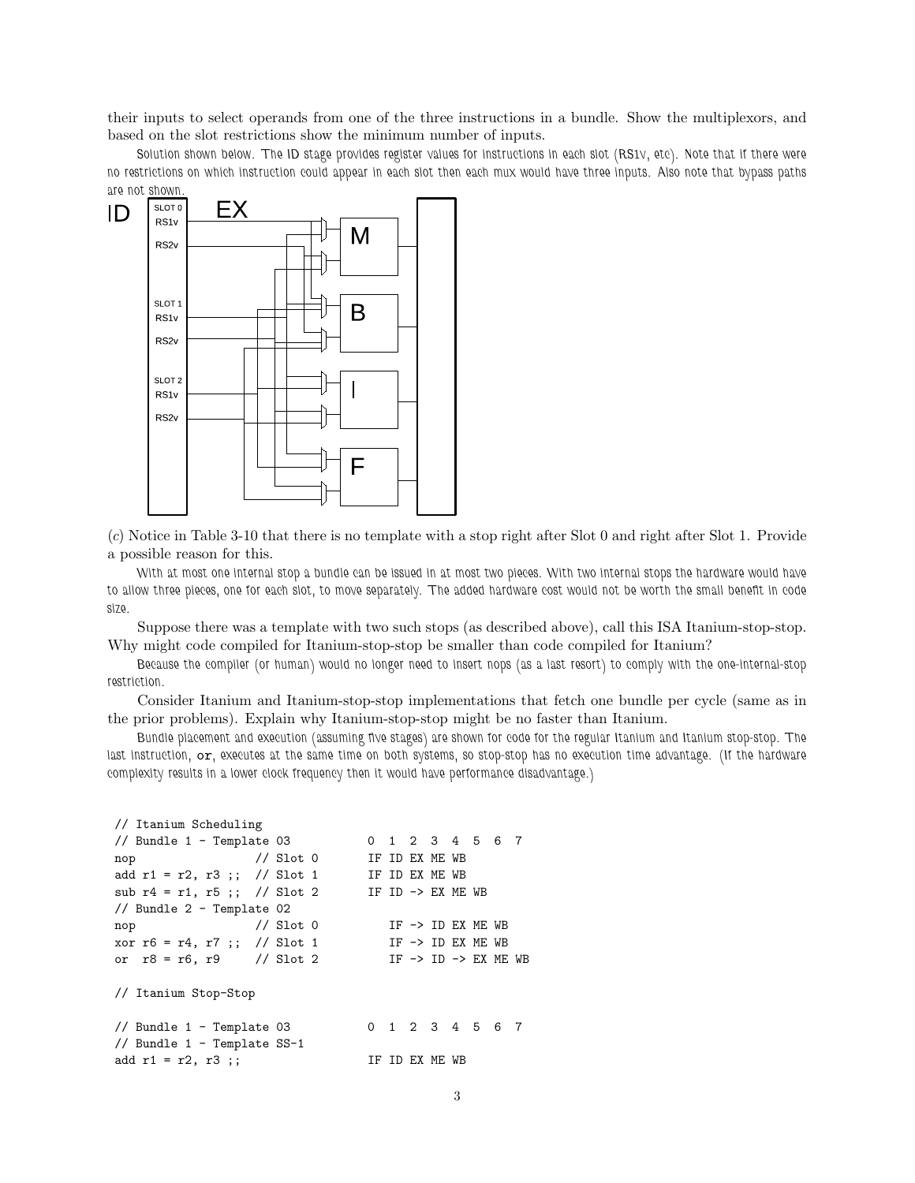their inputs to select operands from one of the three instructions in a bundle. Show the multiplexors, and based on the slot restrictions show the minimum number of inputs.

Solution shown below. The ID stage provides register values for instructions in each slot (RS1v, etc). Note that if there were no restrictions on which instruction could appear in each slot then each mux would have three inputs. Also note that bypass paths



(c) Notice in Table 3-10 that there is no template with a stop right after Slot 0 and right after Slot 1. Provide a possible reason for this.

With at most one internal stop a bundle can be issued in at most two pieces. With two internal stops the hardware would have to allow three pieces, one for each slot, to move separately. The added hardware cost would not be worth the small benefit in code size.

Suppose there was a template with two such stops (as described above), call this ISA Itanium-stop-stop. Why might code compiled for Itanium-stop-stop be smaller than code compiled for Itanium?

Because the compiler (or human) would no longer need to insert nops (as a last resort) to comply with the one-internal-stop restriction.

Consider Itanium and Itanium-stop-stop implementations that fetch one bundle per cycle (same as in the prior problems). Explain why Itanium-stop-stop might be no faster than Itanium.

Bundle placement and execution (assuming five stages) are shown for code for the regular Itanium and Itanium stop-stop. The last instruction, or, executes at the same time on both systems, so stop-stop has no execution time advantage. (If the hardware complexity results in a lower clock frequency then it would have performance disadvantage.)

```
// Itanium Scheduling
// Bundle 1 - Template 03 0 1 2 3 4 5 6 7
nop // Slot 0 IF ID EX ME WB
add r1 = r2, r3;; // Slot 1 IF ID EX ME WB
sub r4 = r1, r5 ;; // Slot 2 IF ID -> EX ME WB
// Bundle 2 - Template 02
nop // Slot 0 IF -> ID EX ME WB
xor r6 = r4, r7;; // Slot 1 IF -> ID EX ME WB
or r8 = r6, r9 // Slot 2 IF -> ID -> EX ME WB
// Itanium Stop-Stop
// Bundle 1 - Template 03 0 1 2 3 4 5 6 7
// Bundle 1 - Template SS-1
add r1 = r2, r3;; IF ID EX ME WB
```